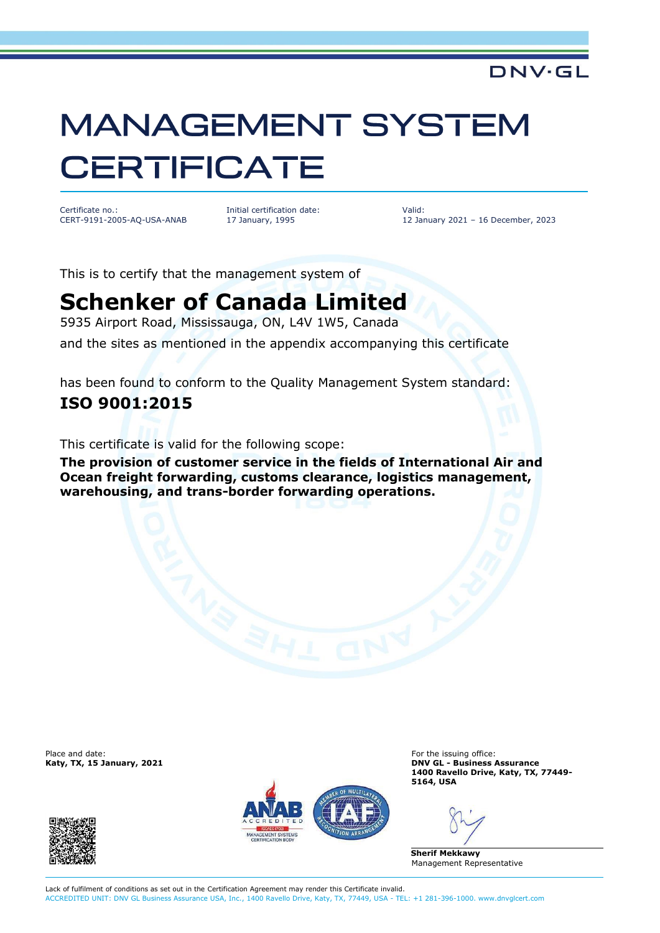### DNV·GL

# **MANAGEMENT SYSTEM CERTIFICATE**

Certificate no.: CERT-9191-2005-AQ-USA-ANAB Initial certification date: 17 January, 1995

Valid: 12 January 2021 – 16 December, 2023

This is to certify that the management system of

# **Schenker of Canada Limited**

5935 Airport Road, Mississauga, ON, L4V 1W5, Canada

and the sites as mentioned in the appendix accompanying this certificate

has been found to conform to the Quality Management System standard:

### **ISO 9001:2015**

This certificate is valid for the following scope:

**The provision of customer service in the fields of International Air and Ocean freight forwarding, customs clearance, logistics management, warehousing, and trans-border forwarding operations.**

Place and date: For the issuing office:<br> **For the issuing office:** For the issuing office:<br> **For the issuing office:** For the issuing office:





**Katy, TX, 15 January, 2021 DNV GL - Business Assurance 1400 Ravello Drive, Katy, TX, 77449- 5164, USA**

**Sherif Mekkawy** Management Representative

Lack of fulfilment of conditions as set out in the Certification Agreement may render this Certificate invalid. ACCREDITED UNIT: DNV GL Business Assurance USA, Inc., 1400 Ravello Drive, Katy, TX, 77449, USA - TEL: +1 281-396-1000. www.dnvglcert.com